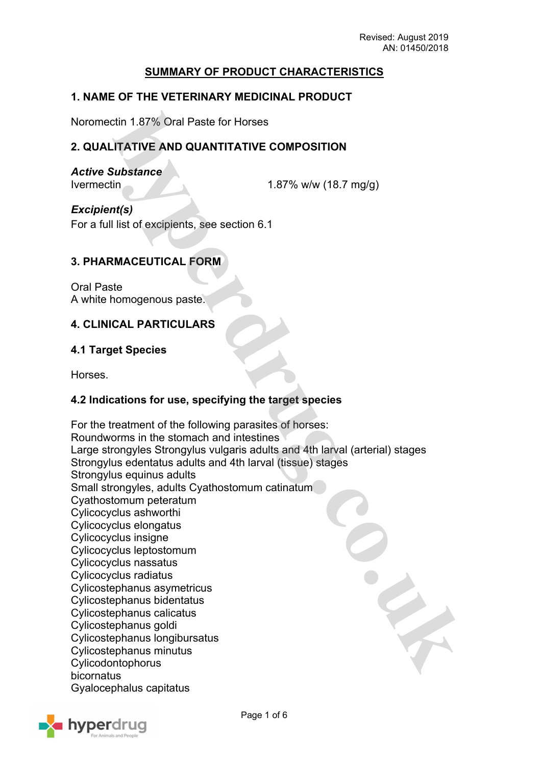## **SUMMARY OF PRODUCT CHARACTERISTICS**

### **1. NAME OF THE VETERINARY MEDICINAL PRODUCT**

Noromectin 1.87% Oral Paste for Horses

## **2. QUALITATIVE AND QUANTITATIVE COMPOSITION**

*Active Substance*

Ivermectin 1.87% w/w (18.7 mg/g)

*Excipient(s)* For a full list of excipients, see section 6.1

### **3. PHARMACEUTICAL FORM**

Oral Paste A white homogenous paste.

### **4. CLINICAL PARTICULARS**

#### **4.1 Target Species**

Horses.

### **4.2 Indications for use, specifying the target species**

For the treatment of the following parasites of horses: Roundworms in the stomach and intestines Large strongyles Strongylus vulgaris adults and 4th larval (arterial) stages Strongylus edentatus adults and 4th larval (tissue) stages Strongylus equinus adults Small strongyles, adults Cyathostomum catinatum Cyathostomum peteratum Cylicocyclus ashworthi Cylicocyclus elongatus Cylicocyclus insigne Cylicocyclus leptostomum Cylicocyclus nassatus Cylicocyclus radiatus Cylicostephanus asymetricus Cylicostephanus bidentatus Cylicostephanus calicatus Cylicostephanus goldi Cylicostephanus longibursatus Cylicostephanus minutus Cylicodontophorus bicornatus Gyalocephalus capitatus

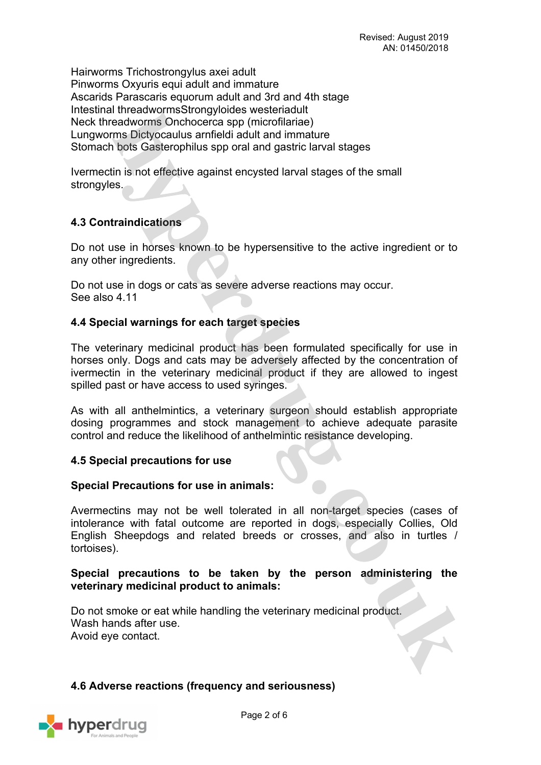Hairworms Trichostrongylus axei adult Pinworms Oxyuris equi adult and immature Ascarids Parascaris equorum adult and 3rd and 4th stage Intestinal threadwormsStrongyloides westeriadult Neck threadworms Onchocerca spp (microfilariae) Lungworms Dictyocaulus arnfieldi adult and immature Stomach bots Gasterophilus spp oral and gastric larval stages

Ivermectin is not effective against encysted larval stages of the small strongyles.

## **4.3 Contraindications**

Do not use in horses known to be hypersensitive to the active ingredient or to any other ingredients.

Do not use in dogs or cats as severe adverse reactions may occur. See also 4.11

## **4.4 Special warnings for each target species**

The veterinary medicinal product has been formulated specifically for use in horses only. Dogs and cats may be adversely affected by the concentration of ivermectin in the veterinary medicinal product if they are allowed to ingest spilled past or have access to used syringes.

As with all anthelmintics, a veterinary surgeon should establish appropriate dosing programmes and stock management to achieve adequate parasite control and reduce the likelihood of anthelmintic resistance developing.

## **4.5 Special precautions for use**

## **Special Precautions for use in animals:**

Avermectins may not be well tolerated in all non-target species (cases of intolerance with fatal outcome are reported in dogs, especially Collies, Old English Sheepdogs and related breeds or crosses, and also in turtles / tortoises).

## **Special precautions to be taken by the person administering the veterinary medicinal product to animals:**

Do not smoke or eat while handling the veterinary medicinal product. Wash hands after use. Avoid eye contact.

## **4.6 Adverse reactions (frequency and seriousness)**

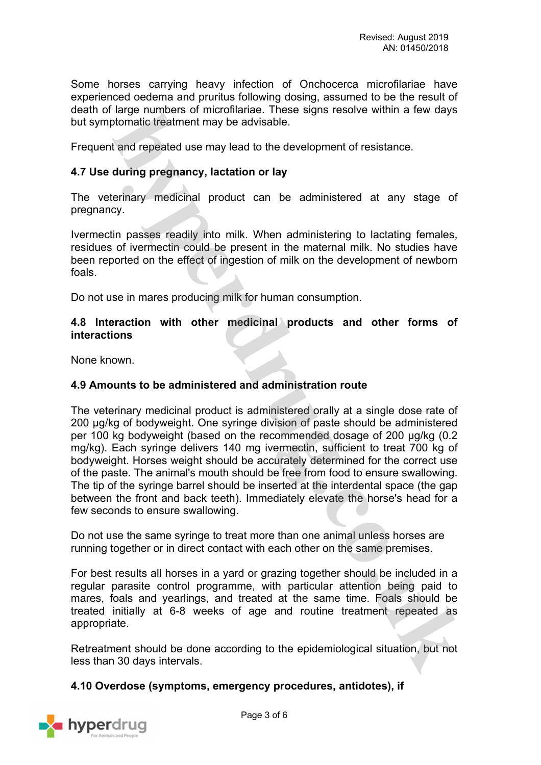Some horses carrying heavy infection of Onchocerca microfilariae have experienced oedema and pruritus following dosing, assumed to be the result of death of large numbers of microfilariae. These signs resolve within a few days but symptomatic treatment may be advisable.

Frequent and repeated use may lead to the development of resistance.

## **4.7 Use during pregnancy, lactation or lay**

The veterinary medicinal product can be administered at any stage of pregnancy.

Ivermectin passes readily into milk. When administering to lactating females, residues of ivermectin could be present in the maternal milk. No studies have been reported on the effect of ingestion of milk on the development of newborn foals.

Do not use in mares producing milk for human consumption.

### **4.8 Interaction with other medicinal products and other forms of interactions**

None known.

#### **4.9 Amounts to be administered and administration route**

The veterinary medicinal product is administered orally at a single dose rate of 200 μg/kg of bodyweight. One syringe division of paste should be administered per 100 kg bodyweight (based on the recommended dosage of 200 μg/kg (0.2 mg/kg). Each syringe delivers 140 mg ivermectin, sufficient to treat 700 kg of bodyweight. Horses weight should be accurately determined for the correct use of the paste. The animal's mouth should be free from food to ensure swallowing. The tip of the syringe barrel should be inserted at the interdental space (the gap between the front and back teeth). Immediately elevate the horse's head for a few seconds to ensure swallowing.

Do not use the same syringe to treat more than one animal unless horses are running together or in direct contact with each other on the same premises.

For best results all horses in a yard or grazing together should be included in a regular parasite control programme, with particular attention being paid to mares, foals and yearlings, and treated at the same time. Foals should be treated initially at 6-8 weeks of age and routine treatment repeated as appropriate.

Retreatment should be done according to the epidemiological situation, but not less than 30 days intervals.

## **4.10 Overdose (symptoms, emergency procedures, antidotes), if**

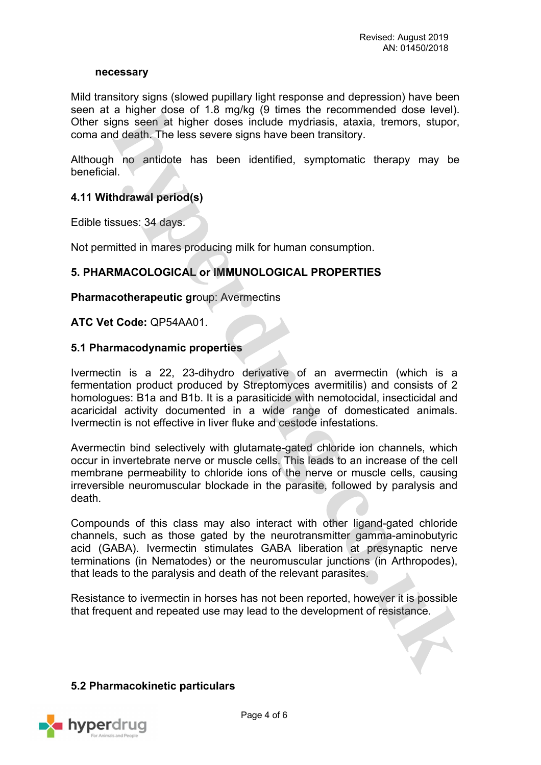#### **necessary**

Mild transitory signs (slowed pupillary light response and depression) have been seen at a higher dose of 1.8 mg/kg (9 times the recommended dose level). Other signs seen at higher doses include mydriasis, ataxia, tremors, stupor, coma and death. The less severe signs have been transitory.

Although no antidote has been identified, symptomatic therapy may be beneficial.

## **4.11 Withdrawal period(s)**

Edible tissues: 34 days.

Not permitted in mares producing milk for human consumption.

## **5. PHARMACOLOGICAL or IMMUNOLOGICAL PROPERTIES**

**Pharmacotherapeutic gr**oup: Avermectins

### **ATC Vet Code:** QP54AA01.

### **5.1 Pharmacodynamic properties**

Ivermectin is a 22, 23-dihydro derivative of an avermectin (which is a fermentation product produced by Streptomyces avermitilis) and consists of 2 homologues: B1a and B1b. It is a parasiticide with nemotocidal, insecticidal and acaricidal activity documented in a wide range of domesticated animals. Ivermectin is not effective in liver fluke and cestode infestations.

Avermectin bind selectively with glutamate-gated chloride ion channels, which occur in invertebrate nerve or muscle cells. This leads to an increase of the cell membrane permeability to chloride ions of the nerve or muscle cells, causing irreversible neuromuscular blockade in the parasite, followed by paralysis and death.

Compounds of this class may also interact with other ligand-gated chloride channels, such as those gated by the neurotransmitter gamma-aminobutyric acid (GABA). Ivermectin stimulates GABA liberation at presynaptic nerve terminations (in Nematodes) or the neuromuscular junctions (in Arthropodes), that leads to the paralysis and death of the relevant parasites.

Resistance to ivermectin in horses has not been reported, however it is possible that frequent and repeated use may lead to the development of resistance.

#### **5.2 Pharmacokinetic particulars**

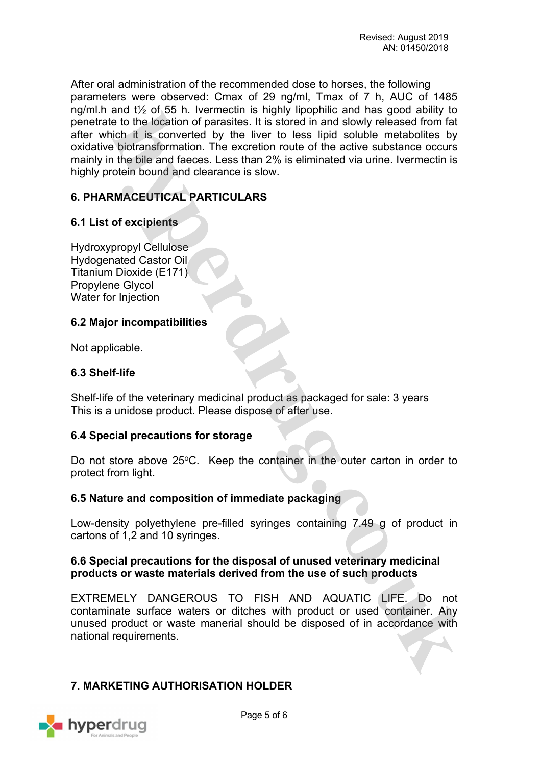After oral administration of the recommended dose to horses, the following parameters were observed: Cmax of 29 ng/ml, Tmax of 7 h, AUC of 1485 ng/ml.h and t½ of 55 h. Ivermectin is highly lipophilic and has good ability to penetrate to the location of parasites. It is stored in and slowly released from fat after which it is converted by the liver to less lipid soluble metabolites by oxidative biotransformation. The excretion route of the active substance occurs mainly in the bile and faeces. Less than 2% is eliminated via urine. Ivermectin is highly protein bound and clearance is slow.

# **6. PHARMACEUTICAL PARTICULARS**

## **6.1 List of excipients**

Hydroxypropyl Cellulose Hydogenated Castor Oil Titanium Dioxide (E171) Propylene Glycol Water for Injection

### **6.2 Major incompatibilities**

Not applicable.

### **6.3 Shelf-life**

Shelf-life of the veterinary medicinal product as packaged for sale: 3 years This is a unidose product. Please dispose of after use.

#### **6.4 Special precautions for storage**

Do not store above  $25^{\circ}$ C. Keep the container in the outer carton in order to protect from light.

#### **6.5 Nature and composition of immediate packaging**

Low-density polyethylene pre-filled syringes containing 7.49 g of product in cartons of 1,2 and 10 syringes.

### **6.6 Special precautions for the disposal of unused veterinary medicinal products or waste materials derived from the use of such products**

EXTREMELY DANGEROUS TO FISH AND AQUATIC LIFE. Do not contaminate surface waters or ditches with product or used container. Any unused product or waste manerial should be disposed of in accordance with national requirements.

## **7. MARKETING AUTHORISATION HOLDER**